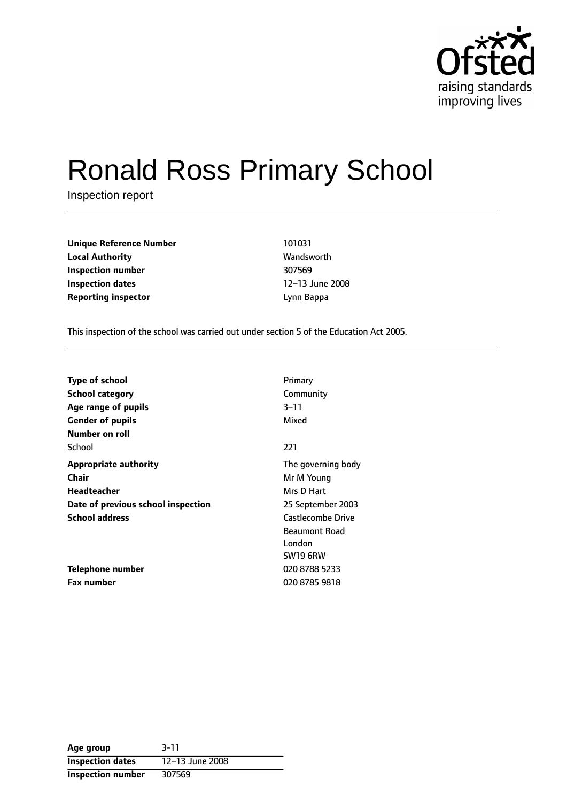

# Ronald Ross Primary School

Inspection report

**Unique Reference Number** 101031 **Local Authority Wandsworth Inspection number** 307569 **Inspection dates** 12-13 June 2008 **Reporting inspector CONFIDENTIAL EXECUTES Lynn Bappa** 

This inspection of the school was carried out under section 5 of the Education Act 2005.

| <b>Type of school</b>              | Primary              |
|------------------------------------|----------------------|
| <b>School category</b>             | Community            |
| Age range of pupils                | $3 - 11$             |
| <b>Gender of pupils</b>            | Mixed                |
| Number on roll                     |                      |
| School                             | 221                  |
| <b>Appropriate authority</b>       | The governing body   |
| <b>Chair</b>                       | Mr M Young           |
| Headteacher                        | Mrs D Hart           |
| Date of previous school inspection | 25 September 2003    |
| <b>School address</b>              | Castlecombe Drive    |
|                                    | <b>Beaumont Road</b> |
|                                    | London               |
|                                    | <b>SW19 6RW</b>      |
| Telephone number                   | 020 8788 5233        |
| <b>Fax number</b>                  | 020 8785 9818        |

| Age group                | $3 - 11$        |
|--------------------------|-----------------|
| <b>Inspection dates</b>  | 12-13 June 2008 |
| <b>Inspection number</b> | 307569          |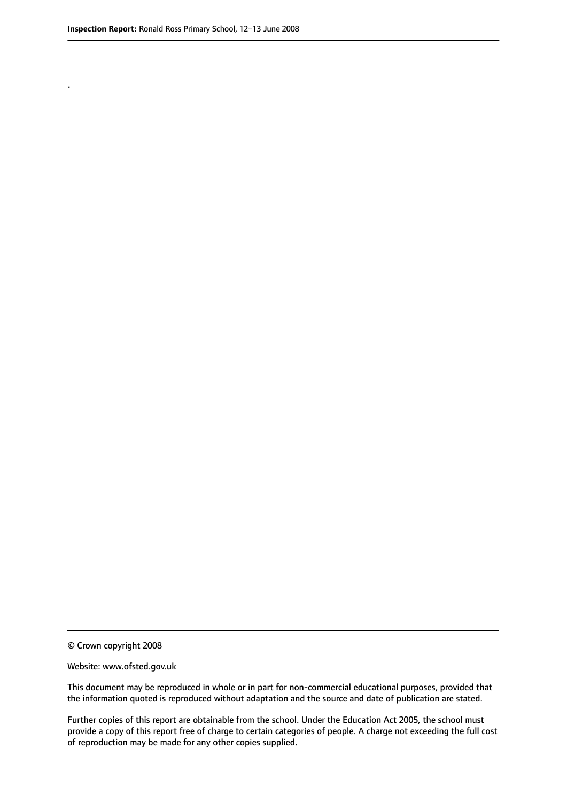.

© Crown copyright 2008

#### Website: www.ofsted.gov.uk

This document may be reproduced in whole or in part for non-commercial educational purposes, provided that the information quoted is reproduced without adaptation and the source and date of publication are stated.

Further copies of this report are obtainable from the school. Under the Education Act 2005, the school must provide a copy of this report free of charge to certain categories of people. A charge not exceeding the full cost of reproduction may be made for any other copies supplied.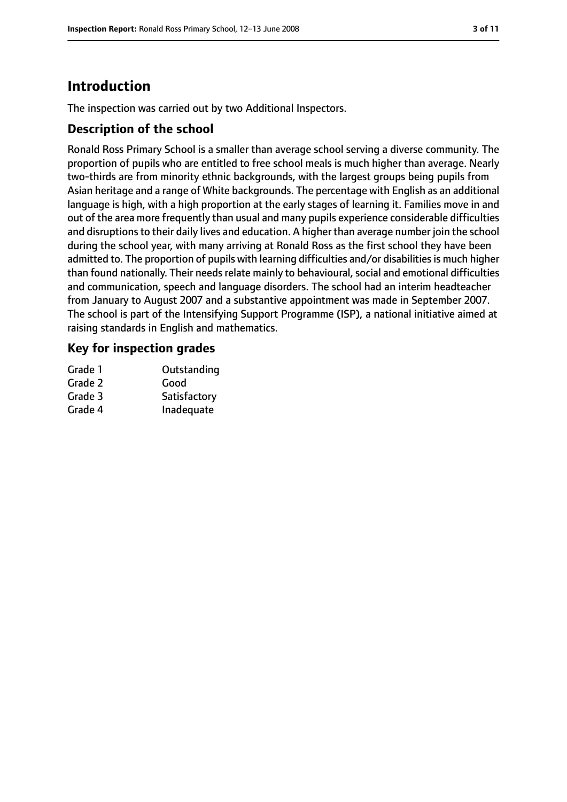## **Introduction**

The inspection was carried out by two Additional Inspectors.

#### **Description of the school**

Ronald Ross Primary School is a smaller than average school serving a diverse community. The proportion of pupils who are entitled to free school meals is much higher than average. Nearly two-thirds are from minority ethnic backgrounds, with the largest groups being pupils from Asian heritage and a range of White backgrounds. The percentage with English as an additional language is high, with a high proportion at the early stages of learning it. Families move in and out of the area more frequently than usual and many pupils experience considerable difficulties and disruptions to their daily lives and education. A higher than average number join the school during the school year, with many arriving at Ronald Ross as the first school they have been admitted to. The proportion of pupils with learning difficulties and/or disabilities is much higher than found nationally. Their needs relate mainly to behavioural, social and emotional difficulties and communication, speech and language disorders. The school had an interim headteacher from January to August 2007 and a substantive appointment was made in September 2007. The school is part of the Intensifying Support Programme (ISP), a national initiative aimed at raising standards in English and mathematics.

#### **Key for inspection grades**

| Grade 1 | Outstanding  |
|---------|--------------|
| Grade 2 | Good         |
| Grade 3 | Satisfactory |
| Grade 4 | Inadequate   |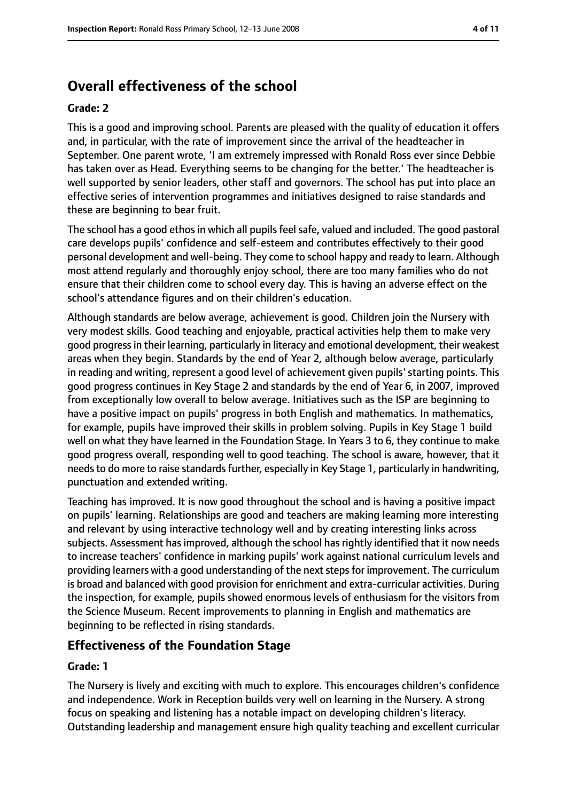## **Overall effectiveness of the school**

#### **Grade: 2**

This is a good and improving school. Parents are pleased with the quality of education it offers and, in particular, with the rate of improvement since the arrival of the headteacher in September. One parent wrote, 'I am extremely impressed with Ronald Ross ever since Debbie has taken over as Head. Everything seems to be changing for the better.' The headteacher is well supported by senior leaders, other staff and governors. The school has put into place an effective series of intervention programmes and initiatives designed to raise standards and these are beginning to bear fruit.

The school has a good ethos in which all pupils feel safe, valued and included. The good pastoral care develops pupils' confidence and self-esteem and contributes effectively to their good personal development and well-being. They come to school happy and ready to learn. Although most attend regularly and thoroughly enjoy school, there are too many families who do not ensure that their children come to school every day. This is having an adverse effect on the school's attendance figures and on their children's education.

Although standards are below average, achievement is good. Children join the Nursery with very modest skills. Good teaching and enjoyable, practical activities help them to make very good progressin their learning, particularly in literacy and emotional development, their weakest areas when they begin. Standards by the end of Year 2, although below average, particularly in reading and writing, represent a good level of achievement given pupils' starting points. This good progress continues in Key Stage 2 and standards by the end of Year 6, in 2007, improved from exceptionally low overall to below average. Initiatives such as the ISP are beginning to have a positive impact on pupils' progress in both English and mathematics. In mathematics, for example, pupils have improved their skills in problem solving. Pupils in Key Stage 1 build well on what they have learned in the Foundation Stage. In Years 3 to 6, they continue to make good progress overall, responding well to good teaching. The school is aware, however, that it needs to do more to raise standards further, especially in Key Stage 1, particularly in handwriting, punctuation and extended writing.

Teaching has improved. It is now good throughout the school and is having a positive impact on pupils' learning. Relationships are good and teachers are making learning more interesting and relevant by using interactive technology well and by creating interesting links across subjects. Assessment has improved, although the school has rightly identified that it now needs to increase teachers' confidence in marking pupils' work against national curriculum levels and providing learners with a good understanding of the next steps for improvement. The curriculum is broad and balanced with good provision for enrichment and extra-curricular activities. During the inspection, for example, pupils showed enormous levels of enthusiasm for the visitors from the Science Museum. Recent improvements to planning in English and mathematics are beginning to be reflected in rising standards.

#### **Effectiveness of the Foundation Stage**

#### **Grade: 1**

The Nursery is lively and exciting with much to explore. This encourages children's confidence and independence. Work in Reception builds very well on learning in the Nursery. A strong focus on speaking and listening has a notable impact on developing children's literacy. Outstanding leadership and management ensure high quality teaching and excellent curricular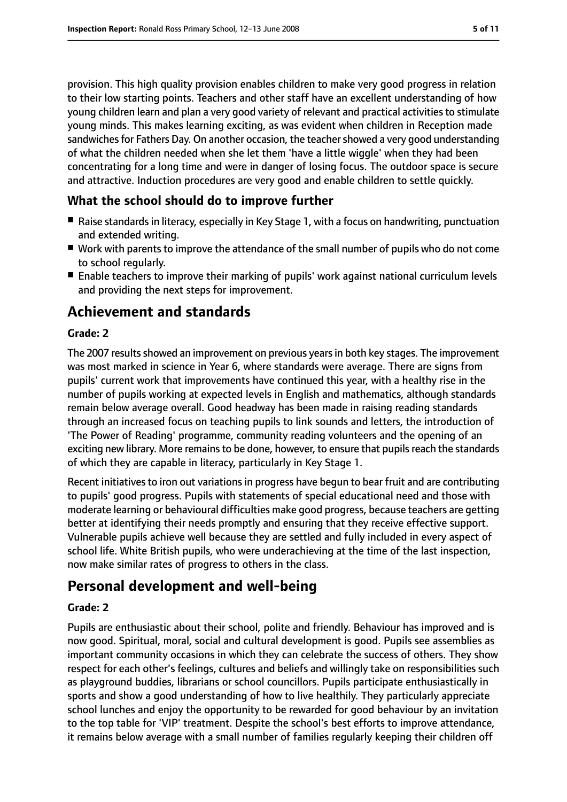provision. This high quality provision enables children to make very good progress in relation to their low starting points. Teachers and other staff have an excellent understanding of how young children learn and plan a very good variety of relevant and practical activitiesto stimulate young minds. This makes learning exciting, as was evident when children in Reception made sandwiches for Fathers Day. On another occasion, the teacher showed a very good understanding of what the children needed when she let them 'have a little wiggle' when they had been concentrating for a long time and were in danger of losing focus. The outdoor space is secure and attractive. Induction procedures are very good and enable children to settle quickly.

## **What the school should do to improve further**

- Raise standards in literacy, especially in Key Stage 1, with a focus on handwriting, punctuation and extended writing.
- Work with parents to improve the attendance of the small number of pupils who do not come to school regularly.
- Enable teachers to improve their marking of pupils' work against national curriculum levels and providing the next steps for improvement.

## **Achievement and standards**

#### **Grade: 2**

The 2007 results showed an improvement on previous years in both key stages. The improvement was most marked in science in Year 6, where standards were average. There are signs from pupils' current work that improvements have continued this year, with a healthy rise in the number of pupils working at expected levels in English and mathematics, although standards remain below average overall. Good headway has been made in raising reading standards through an increased focus on teaching pupils to link sounds and letters, the introduction of 'The Power of Reading' programme, community reading volunteers and the opening of an exciting new library. More remains to be done, however, to ensure that pupils reach the standards of which they are capable in literacy, particularly in Key Stage 1.

Recent initiatives to iron out variations in progress have begun to bear fruit and are contributing to pupils' good progress. Pupils with statements of special educational need and those with moderate learning or behavioural difficulties make good progress, because teachers are getting better at identifying their needs promptly and ensuring that they receive effective support. Vulnerable pupils achieve well because they are settled and fully included in every aspect of school life. White British pupils, who were underachieving at the time of the last inspection, now make similar rates of progress to others in the class.

## **Personal development and well-being**

#### **Grade: 2**

Pupils are enthusiastic about their school, polite and friendly. Behaviour has improved and is now good. Spiritual, moral, social and cultural development is good. Pupils see assemblies as important community occasions in which they can celebrate the success of others. They show respect for each other's feelings, cultures and beliefs and willingly take on responsibilities such as playground buddies, librarians or school councillors. Pupils participate enthusiastically in sports and show a good understanding of how to live healthily. They particularly appreciate school lunches and enjoy the opportunity to be rewarded for good behaviour by an invitation to the top table for 'VIP' treatment. Despite the school's best efforts to improve attendance, it remains below average with a small number of families regularly keeping their children off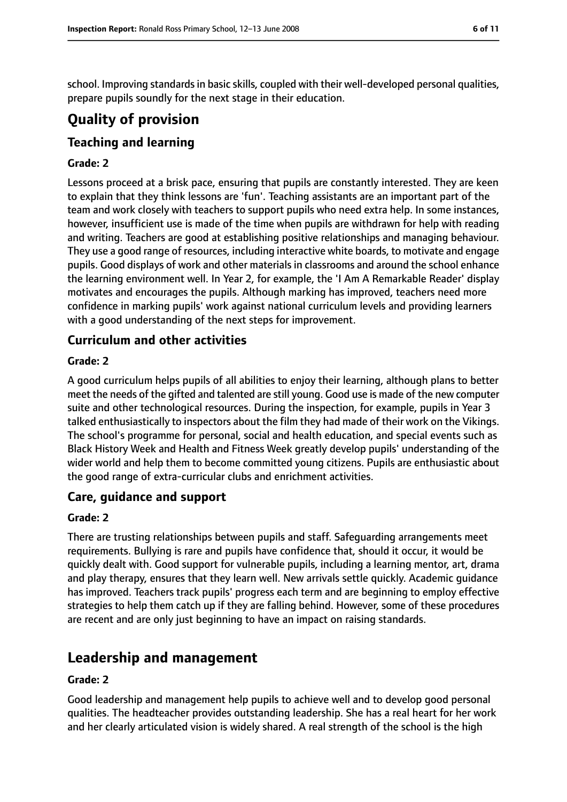school. Improving standardsin basic skills, coupled with their well-developed personal qualities, prepare pupils soundly for the next stage in their education.

# **Quality of provision**

## **Teaching and learning**

#### **Grade: 2**

Lessons proceed at a brisk pace, ensuring that pupils are constantly interested. They are keen to explain that they think lessons are 'fun'. Teaching assistants are an important part of the team and work closely with teachers to support pupils who need extra help. In some instances, however, insufficient use is made of the time when pupils are withdrawn for help with reading and writing. Teachers are good at establishing positive relationships and managing behaviour. They use a good range of resources, including interactive white boards, to motivate and engage pupils. Good displays of work and other materials in classrooms and around the school enhance the learning environment well. In Year 2, for example, the 'I Am A Remarkable Reader' display motivates and encourages the pupils. Although marking has improved, teachers need more confidence in marking pupils' work against national curriculum levels and providing learners with a good understanding of the next steps for improvement.

#### **Curriculum and other activities**

#### **Grade: 2**

A good curriculum helps pupils of all abilities to enjoy their learning, although plans to better meet the needs of the gifted and talented are still young. Good use is made of the new computer suite and other technological resources. During the inspection, for example, pupils in Year 3 talked enthusiastically to inspectors about the film they had made of their work on the Vikings. The school's programme for personal, social and health education, and special events such as Black History Week and Health and Fitness Week greatly develop pupils' understanding of the wider world and help them to become committed young citizens. Pupils are enthusiastic about the good range of extra-curricular clubs and enrichment activities.

#### **Care, guidance and support**

#### **Grade: 2**

There are trusting relationships between pupils and staff. Safeguarding arrangements meet requirements. Bullying is rare and pupils have confidence that, should it occur, it would be quickly dealt with. Good support for vulnerable pupils, including a learning mentor, art, drama and play therapy, ensures that they learn well. New arrivals settle quickly. Academic guidance has improved. Teachers track pupils' progress each term and are beginning to employ effective strategies to help them catch up if they are falling behind. However, some of these procedures are recent and are only just beginning to have an impact on raising standards.

## **Leadership and management**

#### **Grade: 2**

Good leadership and management help pupils to achieve well and to develop good personal qualities. The headteacher provides outstanding leadership. She has a real heart for her work and her clearly articulated vision is widely shared. A real strength of the school is the high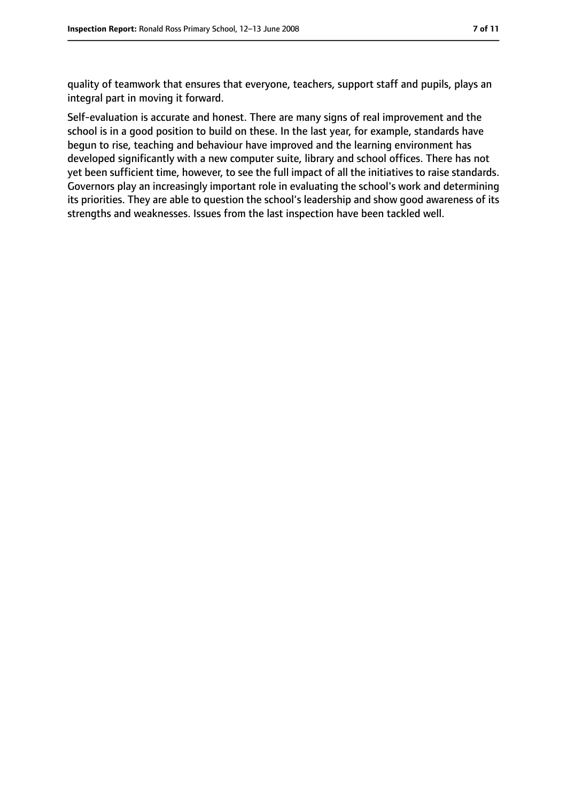quality of teamwork that ensures that everyone, teachers, support staff and pupils, plays an integral part in moving it forward.

Self-evaluation is accurate and honest. There are many signs of real improvement and the school is in a good position to build on these. In the last year, for example, standards have begun to rise, teaching and behaviour have improved and the learning environment has developed significantly with a new computer suite, library and school offices. There has not yet been sufficient time, however, to see the full impact of all the initiatives to raise standards. Governors play an increasingly important role in evaluating the school's work and determining its priorities. They are able to question the school's leadership and show good awareness of its strengths and weaknesses. Issues from the last inspection have been tackled well.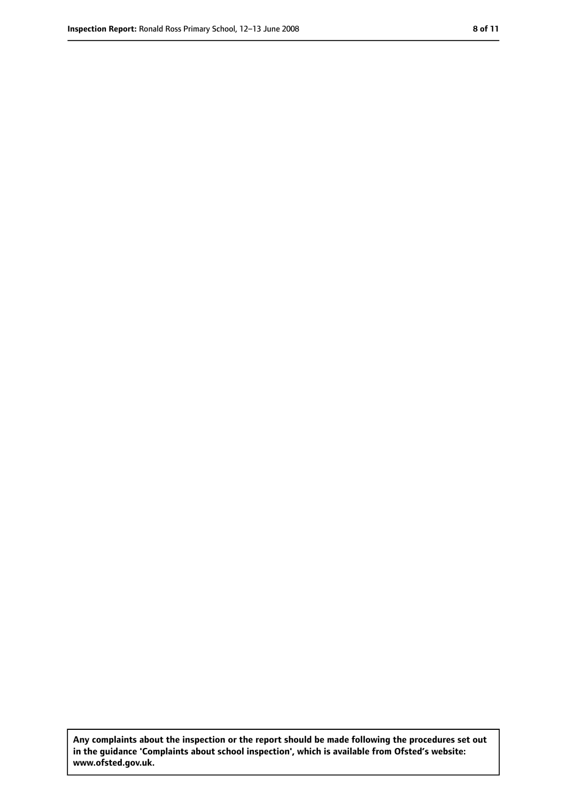**Any complaints about the inspection or the report should be made following the procedures set out in the guidance 'Complaints about school inspection', which is available from Ofsted's website: www.ofsted.gov.uk.**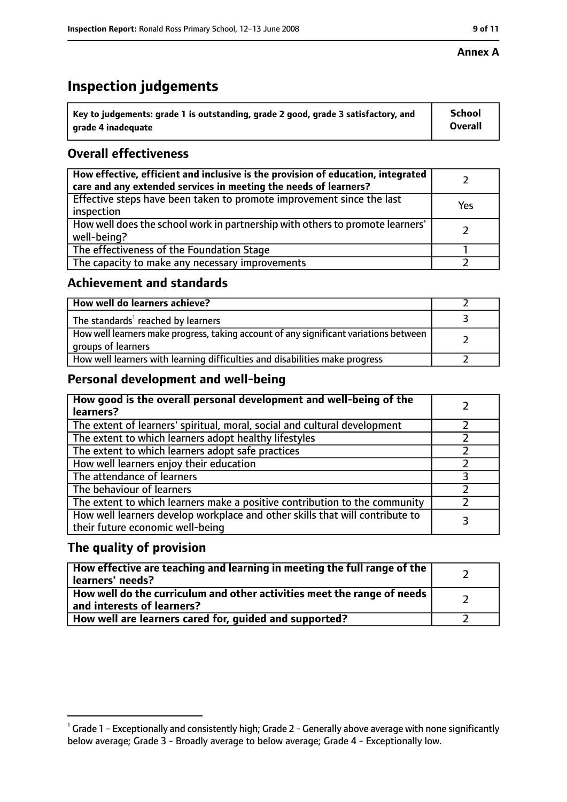#### **Annex A**

## **Inspection judgements**

| $^{\backprime}$ Key to judgements: grade 1 is outstanding, grade 2 good, grade 3 satisfactory, and | <b>School</b>  |
|----------------------------------------------------------------------------------------------------|----------------|
| arade 4 inadequate                                                                                 | <b>Overall</b> |

## **Overall effectiveness**

| How effective, efficient and inclusive is the provision of education, integrated<br>care and any extended services in meeting the needs of learners? |     |
|------------------------------------------------------------------------------------------------------------------------------------------------------|-----|
| Effective steps have been taken to promote improvement since the last<br>inspection                                                                  | Yes |
| How well does the school work in partnership with others to promote learners'<br>well-being?                                                         |     |
| The effectiveness of the Foundation Stage                                                                                                            |     |
| The capacity to make any necessary improvements                                                                                                      |     |

#### **Achievement and standards**

| How well do learners achieve?                                                                               |  |
|-------------------------------------------------------------------------------------------------------------|--|
| The standards <sup>1</sup> reached by learners                                                              |  |
| How well learners make progress, taking account of any significant variations between<br>groups of learners |  |
| How well learners with learning difficulties and disabilities make progress                                 |  |

## **Personal development and well-being**

| How good is the overall personal development and well-being of the<br>learners?                                  |  |
|------------------------------------------------------------------------------------------------------------------|--|
| The extent of learners' spiritual, moral, social and cultural development                                        |  |
| The extent to which learners adopt healthy lifestyles                                                            |  |
| The extent to which learners adopt safe practices                                                                |  |
| How well learners enjoy their education                                                                          |  |
| The attendance of learners                                                                                       |  |
| The behaviour of learners                                                                                        |  |
| The extent to which learners make a positive contribution to the community                                       |  |
| How well learners develop workplace and other skills that will contribute to<br>their future economic well-being |  |

## **The quality of provision**

| How effective are teaching and learning in meeting the full range of the<br>learners' needs?          |  |
|-------------------------------------------------------------------------------------------------------|--|
| How well do the curriculum and other activities meet the range of needs<br>and interests of learners? |  |
| How well are learners cared for, quided and supported?                                                |  |

 $^1$  Grade 1 - Exceptionally and consistently high; Grade 2 - Generally above average with none significantly below average; Grade 3 - Broadly average to below average; Grade 4 - Exceptionally low.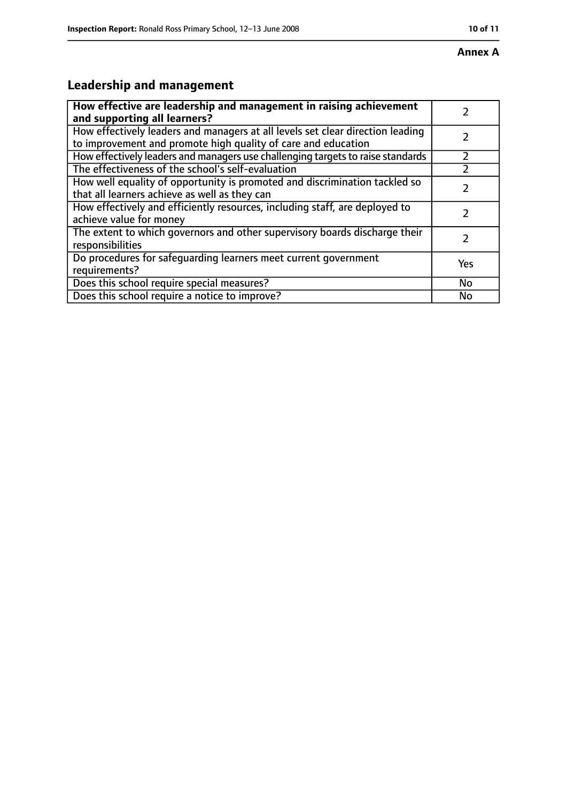# **Leadership and management**

| How effective are leadership and management in raising achievement<br>and supporting all learners?                                              |     |
|-------------------------------------------------------------------------------------------------------------------------------------------------|-----|
| How effectively leaders and managers at all levels set clear direction leading<br>to improvement and promote high quality of care and education |     |
| How effectively leaders and managers use challenging targets to raise standards                                                                 |     |
| The effectiveness of the school's self-evaluation                                                                                               |     |
| How well equality of opportunity is promoted and discrimination tackled so<br>that all learners achieve as well as they can                     |     |
| How effectively and efficiently resources, including staff, are deployed to<br>achieve value for money                                          |     |
| The extent to which governors and other supervisory boards discharge their<br>responsibilities                                                  |     |
| Do procedures for safequarding learners meet current government<br>requirements?                                                                | Yes |
| Does this school require special measures?                                                                                                      | No  |
| Does this school require a notice to improve?                                                                                                   | No  |